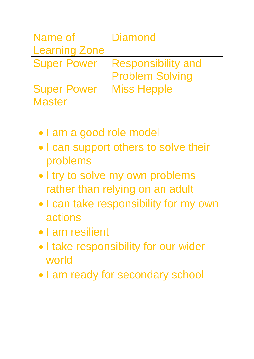| Name of              | Diamond                   |
|----------------------|---------------------------|
| <b>Learning Zone</b> |                           |
| <b>Super Power</b>   | <b>Responsibility and</b> |
|                      | <b>Problem Solving</b>    |
| <b>Super Power</b>   | <b>Miss Hepple</b>        |
| <b>Master</b>        |                           |

- I am a good role model
- I can support others to solve their problems
- I try to solve my own problems rather than relying on an adult
- I can take responsibility for my own actions
- I am resilient
- I take responsibility for our wider world
- I am ready for secondary school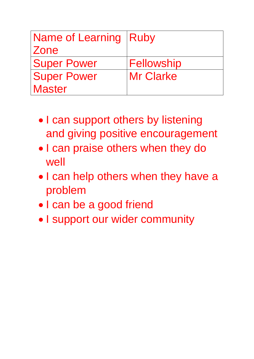| Name of Learning   Ruby |                   |
|-------------------------|-------------------|
| Zone                    |                   |
| <b>Super Power</b>      | <b>Fellowship</b> |
| <b>Super Power</b>      | <b>Mr Clarke</b>  |
| <b>Master</b>           |                   |

- I can support others by listening and giving positive encouragement
- I can praise others when they do well
- I can help others when they have a problem
- I can be a good friend
- I support our wider community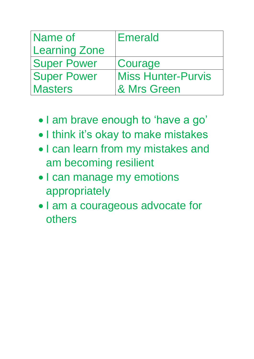| Name of              | <b>Emerald</b>            |
|----------------------|---------------------------|
| <b>Learning Zone</b> |                           |
| <b>Super Power</b>   | Courage                   |
| <b>Super Power</b>   | <b>Miss Hunter-Purvis</b> |
| <b>Masters</b>       | & Mrs Green               |

- I am brave enough to 'have a go'
- I think it's okay to make mistakes
- I can learn from my mistakes and am becoming resilient
- I can manage my emotions appropriately
- I am a courageous advocate for others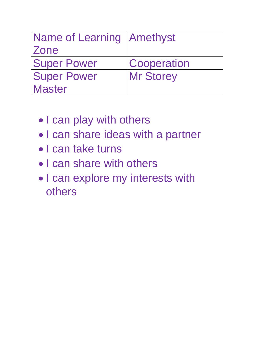| Name of Learning   Amethyst |                    |
|-----------------------------|--------------------|
| Zone                        |                    |
| <b>Super Power</b>          | <b>Cooperation</b> |
| <b>Super Power</b>          | <b>Mr Storey</b>   |
| <b>Master</b>               |                    |

- I can play with others
- I can share ideas with a partner
- I can take turns
- I can share with others
- I can explore my interests with others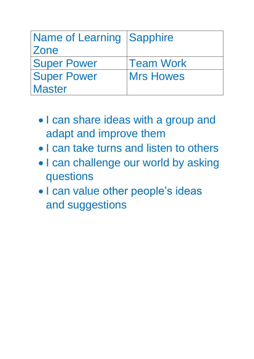| <b>Name of Learning   Sapphire</b> |                  |
|------------------------------------|------------------|
| Zone                               |                  |
| <b>Super Power</b>                 | <b>Team Work</b> |
| <b>Super Power</b>                 | <b>Mrs Howes</b> |
| <b>Master</b>                      |                  |

- I can share ideas with a group and adapt and improve them
- I can take turns and listen to others
- I can challenge our world by asking questions
- I can value other people's ideas and suggestions